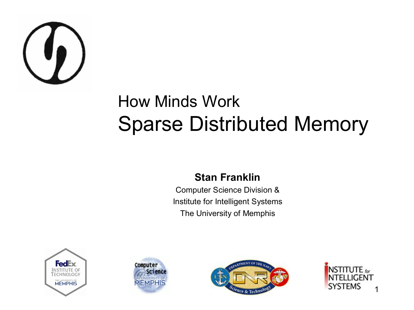

#### How Minds Work Sparse Distributed Memory

#### **Stan Franklin**

Computer Science Division & Institute for Intelligent Systems The University of Memphis







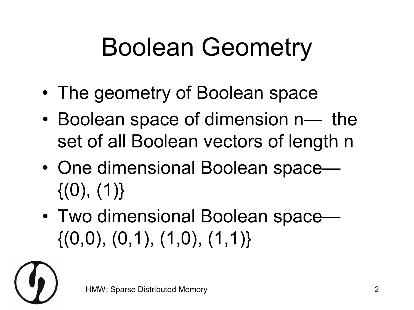## Boolean Geometry

- The geometry of Boolean space
- Boolean space of dimension n— the set of all Boolean vectors of length n
- One dimensional Boolean space—  $\{(0), (1)\}\$
- Two dimensional Boolean space—  $\{(0,0), (0,1), (1,0), (1,1)\}\$

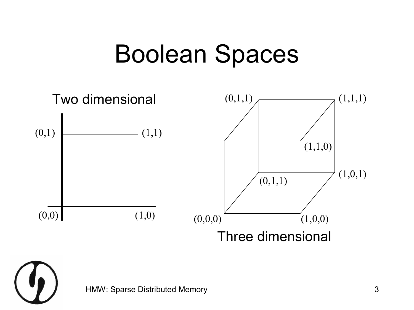#### Boolean Spaces



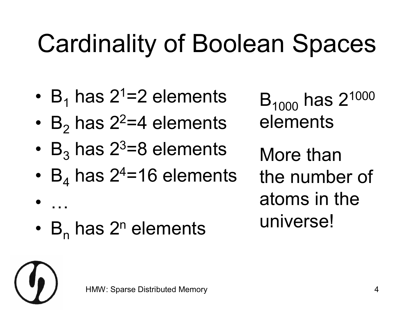## Cardinality of Boolean Spaces

- $B_1$  has 2<sup>1</sup>=2 elements
- B<sub>2</sub> has  $2^2=4$  elements
- $B_3$  has 2<sup>3</sup>=8 elements
- $B_4$  has 2<sup>4</sup>=16 elements
- $\bullet$  ...
- $B_n$  has  $2^n$  elements

 $B_{1000}$  has  $2^{1000}$ elements

More than the number of atoms in the universe!

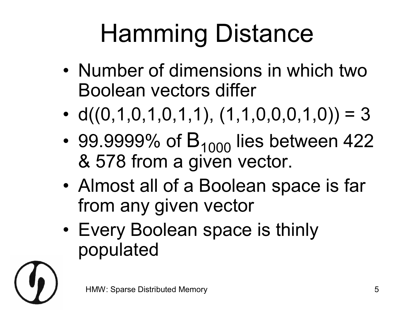# Hamming Distance

- Number of dimensions in which two Boolean vectors differ
- $d((0,1,0,1,0,1,1), (1,1,0,0,0,1,0)) = 3$
- 99.9999% of  $B_{1000}$  lies between 422 & 578 from a given vector.
- Almost all of a Boolean space is far from any given vector
- Every Boolean space is thinly populated

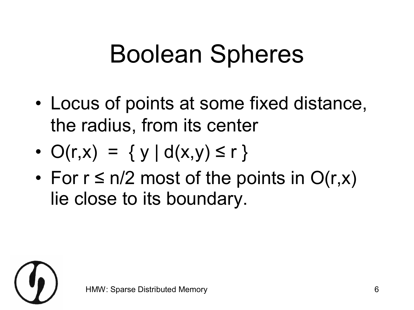## Boolean Spheres

- Locus of points at some fixed distance, the radius, from its center
- $O(r,x) = \{ y | d(x,y) \le r \}$
- For  $r \le n/2$  most of the points in  $O(r,x)$ lie close to its boundary.

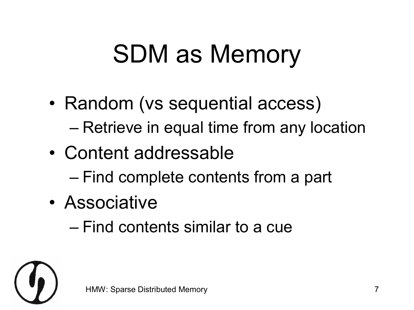## SDM as Memory

- Random (vs sequential access)
	- Retrieve in equal time from any location
- Content addressable
	- Find complete contents from a part
- Associative
	- Find contents similar to a cue

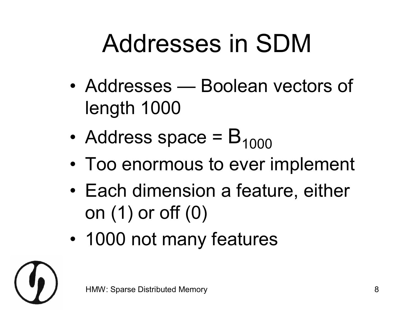## Addresses in SDM

- Addresses Boolean vectors of length 1000
- Address space  $= B_{1000}$
- Too enormous to ever implement
- Each dimension a feature, either on (1) or off (0)
- 1000 not many features

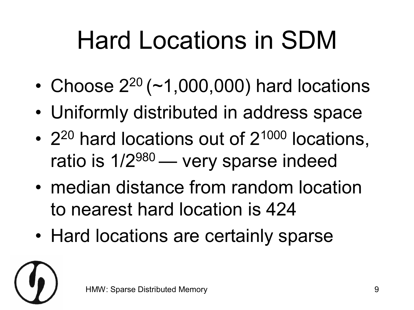## Hard Locations in SDM

- Choose  $2^{20}$  (~1,000,000) hard locations
- Uniformly distributed in address space
- $2^{20}$  hard locations out of  $2^{1000}$  locations, ratio is  $1/2^{980}$  — very sparse indeed
- median distance from random location to nearest hard location is 424
- Hard locations are certainly sparse

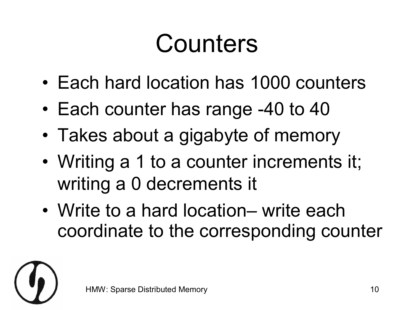#### **Counters**

- Each hard location has 1000 counters
- Each counter has range -40 to 40
- Takes about a gigabyte of memory
- Writing a 1 to a counter increments it; writing a 0 decrements it
- Write to a hard location– write each coordinate to the corresponding counter

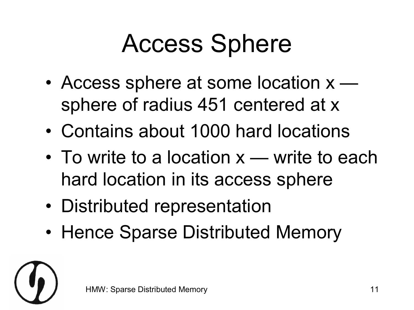## Access Sphere

- Access sphere at some location  $x$ sphere of radius 451 centered at x
- Contains about 1000 hard locations
- To write to a location  $x$  write to each hard location in its access sphere
- Distributed representation
- Hence Sparse Distributed Memory

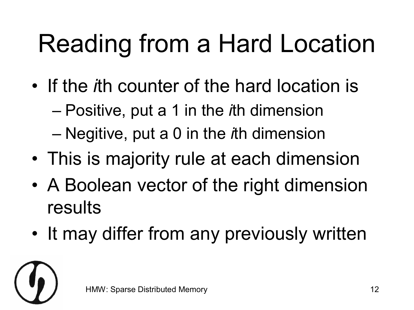## Reading from a Hard Location

- If the *i*th counter of the hard location is
	- Positive, put a 1 in the *i*th dimension
	- Negitive, put a 0 in the *i*th dimension
- This is majority rule at each dimension
- A Boolean vector of the right dimension results
- It may differ from any previously written

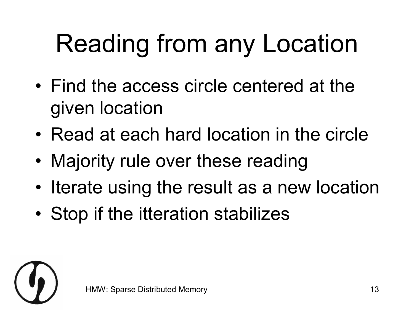## Reading from any Location

- Find the access circle centered at the given location
- Read at each hard location in the circle
- Majority rule over these reading
- Iterate using the result as a new location
- Stop if the itteration stabilizes

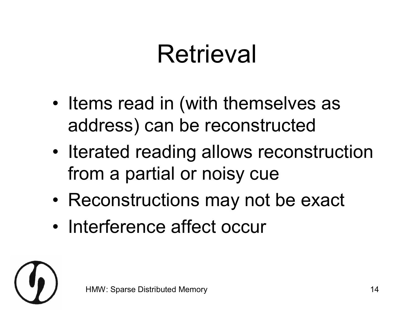#### **Retrieval**

- Items read in (with themselves as address) can be reconstructed
- Iterated reading allows reconstruction from a partial or noisy cue
- Reconstructions may not be exact
- Interference affect occur

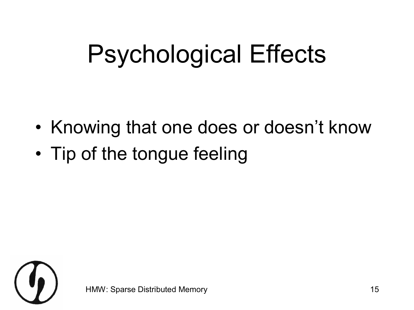## Psychological Effects

- Knowing that one does or doesn't know
- Tip of the tongue feeling

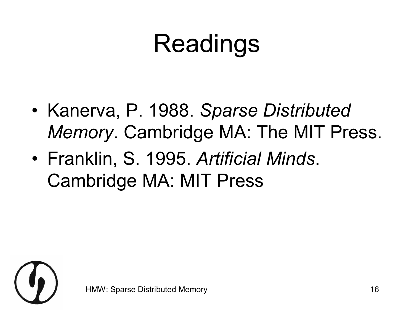#### Readings

- Kanerva, P. 1988. *Sparse Distributed Memory*. Cambridge MA: The MIT Press.
- Franklin, S. 1995. *Artificial Minds*. Cambridge MA: MIT Press